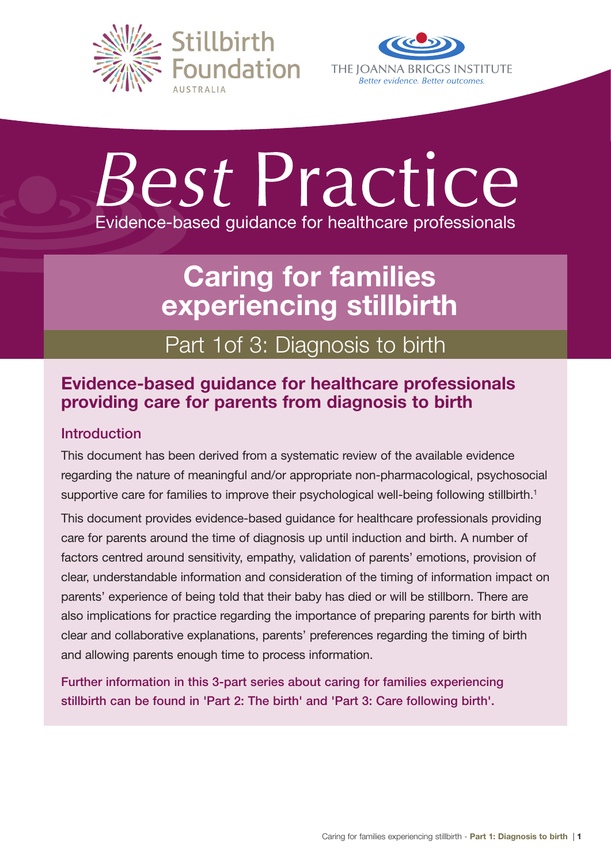



# Best Practice Evidence-based guidance for healthcare professionals

# Caring for families experiencing stillbirth

# Part 1of 3: Diagnosis to birth

# Evidence-based guidance for healthcare professionals providing care for parents from diagnosis to birth

# Introduction

This document has been derived from a systematic review of the available evidence regarding the nature of meaningful and/or appropriate non-pharmacological, psychosocial supportive care for families to improve their psychological well-being following stillbirth.<sup>1</sup>

This document provides evidence-based guidance for healthcare professionals providing care for parents around the time of diagnosis up until induction and birth. A number of factors centred around sensitivity, empathy, validation of parents' emotions, provision of clear, understandable information and consideration of the timing of information impact on parents' experience of being told that their baby has died or will be stillborn. There are also implications for practice regarding the importance of preparing parents for birth with clear and collaborative explanations, parents' preferences regarding the timing of birth and allowing parents enough time to process information.

Further information in this 3-part series about caring for families experiencing stillbirth can be found in 'Part 2: The birth' and 'Part 3: Care following birth'.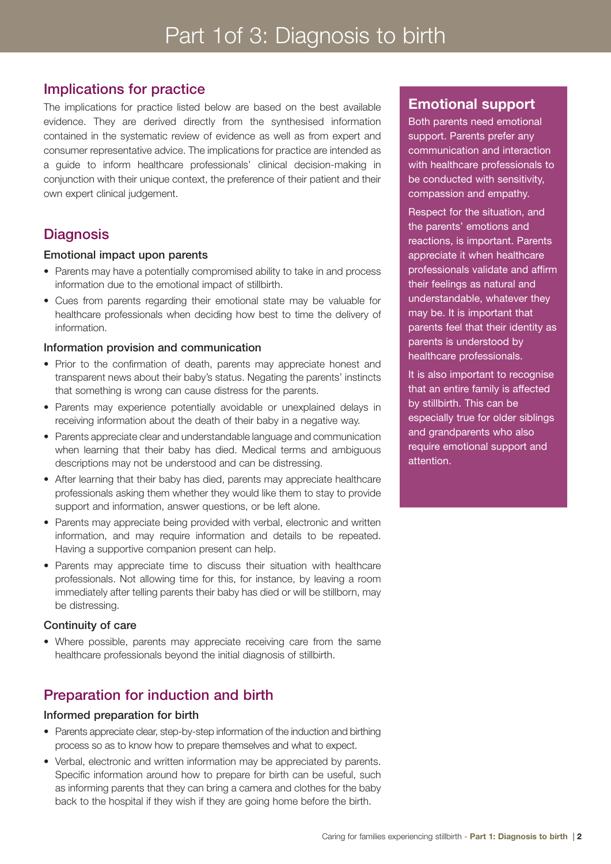# Implications for practice

The implications for practice listed below are based on the best available evidence. They are derived directly from the synthesised information contained in the systematic review of evidence as well as from expert and consumer representative advice. The implications for practice are intended as a guide to inform healthcare professionals' clinical decision-making in conjunction with their unique context, the preference of their patient and their own expert clinical judgement.

# **Diagnosis**

#### Emotional impact upon parents

- Parents may have a potentially compromised ability to take in and process information due to the emotional impact of stillbirth.
- • Cues from parents regarding their emotional state may be valuable for healthcare professionals when deciding how best to time the delivery of information.

#### Information provision and communication

- Prior to the confirmation of death, parents may appreciate honest and transparent news about their baby's status. Negating the parents' instincts that something is wrong can cause distress for the parents.
- Parents may experience potentially avoidable or unexplained delays in receiving information about the death of their baby in a negative way.
- Parents appreciate clear and understandable language and communication when learning that their baby has died. Medical terms and ambiguous descriptions may not be understood and can be distressing.
- After learning that their baby has died, parents may appreciate healthcare professionals asking them whether they would like them to stay to provide support and information, answer questions, or be left alone.
- Parents may appreciate being provided with verbal, electronic and written information, and may require information and details to be repeated. Having a supportive companion present can help.
- Parents may appreciate time to discuss their situation with healthcare professionals. Not allowing time for this, for instance, by leaving a room immediately after telling parents their baby has died or will be stillborn, may be distressing.

#### Continuity of care

• Where possible, parents may appreciate receiving care from the same healthcare professionals beyond the initial diagnosis of stillbirth.

# Preparation for induction and birth

#### Informed preparation for birth

- Parents appreciate clear, step-by-step information of the induction and birthing process so as to know how to prepare themselves and what to expect.
- Verbal, electronic and written information may be appreciated by parents. Specific information around how to prepare for birth can be useful, such as informing parents that they can bring a camera and clothes for the baby back to the hospital if they wish if they are going home before the birth.

#### Emotional support

Both parents need emotional support. Parents prefer any communication and interaction with healthcare professionals to be conducted with sensitivity, compassion and empathy.

Respect for the situation, and the parents' emotions and reactions, is important. Parents appreciate it when healthcare professionals validate and affirm their feelings as natural and understandable, whatever they may be. It is important that parents feel that their identity as parents is understood by healthcare professionals.

It is also important to recognise that an entire family is affected by stillbirth. This can be especially true for older siblings and grandparents who also require emotional support and attention.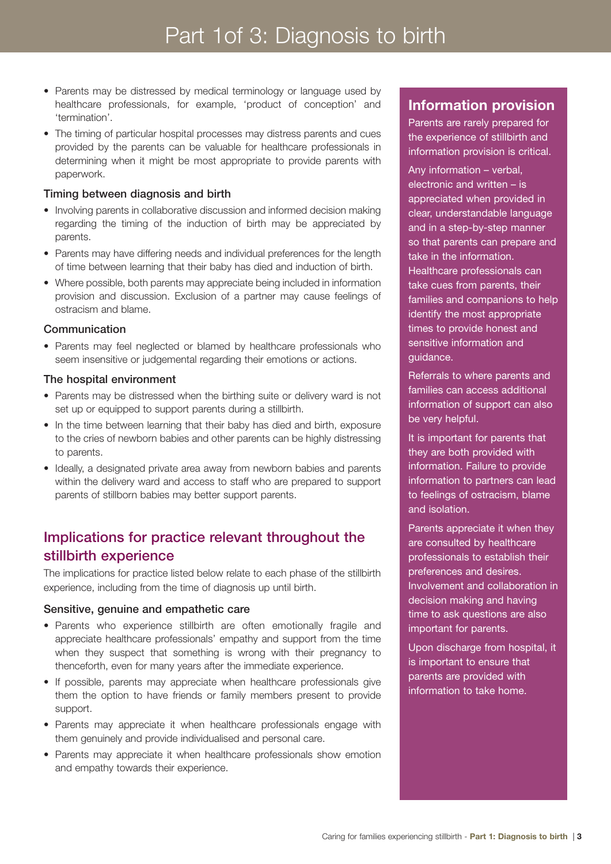- Parents may be distressed by medical terminology or language used by healthcare professionals, for example, 'product of conception' and 'termination'.
- The timing of particular hospital processes may distress parents and cues provided by the parents can be valuable for healthcare professionals in determining when it might be most appropriate to provide parents with paperwork.

#### Timing between diagnosis and birth

- Involving parents in collaborative discussion and informed decision making regarding the timing of the induction of birth may be appreciated by parents.
- Parents may have differing needs and individual preferences for the length of time between learning that their baby has died and induction of birth.
- Where possible, both parents may appreciate being included in information provision and discussion. Exclusion of a partner may cause feelings of ostracism and blame.

#### Communication

• Parents may feel neglected or blamed by healthcare professionals who seem insensitive or judgemental regarding their emotions or actions.

#### The hospital environment

- Parents may be distressed when the birthing suite or delivery ward is not set up or equipped to support parents during a stillbirth.
- In the time between learning that their baby has died and birth, exposure to the cries of newborn babies and other parents can be highly distressing to parents.
- Ideally, a designated private area away from newborn babies and parents within the delivery ward and access to staff who are prepared to support parents of stillborn babies may better support parents.

# Implications for practice relevant throughout the stillbirth experience

The implications for practice listed below relate to each phase of the stillbirth experience, including from the time of diagnosis up until birth.

#### Sensitive, genuine and empathetic care

- Parents who experience stillbirth are often emotionally fragile and appreciate healthcare professionals' empathy and support from the time when they suspect that something is wrong with their pregnancy to thenceforth, even for many years after the immediate experience.
- If possible, parents may appreciate when healthcare professionals give them the option to have friends or family members present to provide support.
- Parents may appreciate it when healthcare professionals engage with them genuinely and provide individualised and personal care.
- Parents may appreciate it when healthcare professionals show emotion and empathy towards their experience.

# Information provision

Parents are rarely prepared for the experience of stillbirth and information provision is critical.

Any information – verbal, electronic and written – is appreciated when provided in clear, understandable language and in a step-by-step manner so that parents can prepare and take in the information. Healthcare professionals can take cues from parents, their families and companions to help identify the most appropriate times to provide honest and sensitive information and guidance.

Referrals to where parents and families can access additional information of support can also be very helpful.

It is important for parents that they are both provided with information. Failure to provide information to partners can lead to feelings of ostracism, blame and isolation.

Parents appreciate it when they are consulted by healthcare professionals to establish their preferences and desires. Involvement and collaboration in decision making and having time to ask questions are also important for parents.

Upon discharge from hospital, it is important to ensure that parents are provided with information to take home.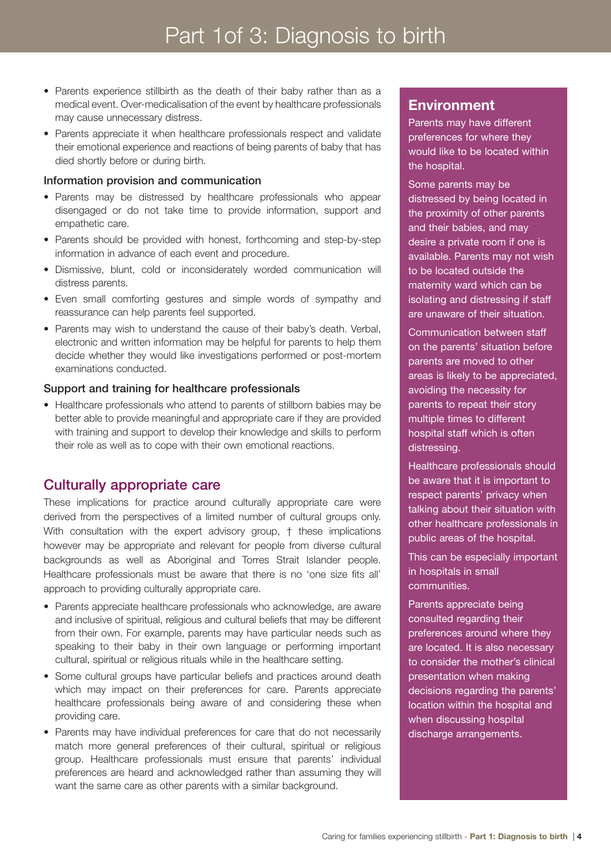- Parents experience stillbirth as the death of their baby rather than as a medical event. Over-medicalisation of the event by healthcare professionals may cause unnecessary distress.
- Parents appreciate it when healthcare professionals respect and validate their emotional experience and reactions of being parents of baby that has died shortly before or during birth.

#### Information provision and communication

- Parents may be distressed by healthcare professionals who appear disengaged or do not take time to provide information, support and empathetic care.
- Parents should be provided with honest, forthcoming and step-by-step information in advance of each event and procedure.
- Dismissive, blunt, cold or inconsiderately worded communication will distress parents.
- Even small comforting gestures and simple words of sympathy and reassurance can help parents feel supported.
- Parents may wish to understand the cause of their baby's death. Verbal, electronic and written information may be helpful for parents to help them decide whether they would like investigations performed or post-mortem examinations conducted.

#### Support and training for healthcare professionals

• Healthcare professionals who attend to parents of stillborn babies may be better able to provide meaningful and appropriate care if they are provided with training and support to develop their knowledge and skills to perform their role as well as to cope with their own emotional reactions.

# Culturally appropriate care

These implications for practice around culturally appropriate care were derived from the perspectives of a limited number of cultural groups only. With consultation with the expert advisory group, † these implications however may be appropriate and relevant for people from diverse cultural backgrounds as well as Aboriginal and Torres Strait Islander people. Healthcare professionals must be aware that there is no 'one size fits all' approach to providing culturally appropriate care.

- Parents appreciate healthcare professionals who acknowledge, are aware and inclusive of spiritual, religious and cultural beliefs that may be different from their own. For example, parents may have particular needs such as speaking to their baby in their own language or performing important cultural, spiritual or religious rituals while in the healthcare setting.
- Some cultural groups have particular beliefs and practices around death which may impact on their preferences for care. Parents appreciate healthcare professionals being aware of and considering these when providing care.
- Parents may have individual preferences for care that do not necessarily match more general preferences of their cultural, spiritual or religious group. Healthcare professionals must ensure that parents' individual preferences are heard and acknowledged rather than assuming they will want the same care as other parents with a similar background.

# **Environment**

Parents may have different preferences for where they would like to be located within the hospital.

Some parents may be distressed by being located in the proximity of other parents and their babies, and may desire a private room if one is available. Parents may not wish to be located outside the maternity ward which can be isolating and distressing if staff are unaware of their situation.

Communication between staff on the parents' situation before parents are moved to other areas is likely to be appreciated, avoiding the necessity for parents to repeat their story multiple times to different hospital staff which is often distressing.

Healthcare professionals should be aware that it is important to respect parents' privacy when talking about their situation with other healthcare professionals in public areas of the hospital.

This can be especially important in hospitals in small communities.

Parents appreciate being consulted regarding their preferences around where they are located. It is also necessary to consider the mother's clinical presentation when making decisions regarding the parents' location within the hospital and when discussing hospital discharge arrangements.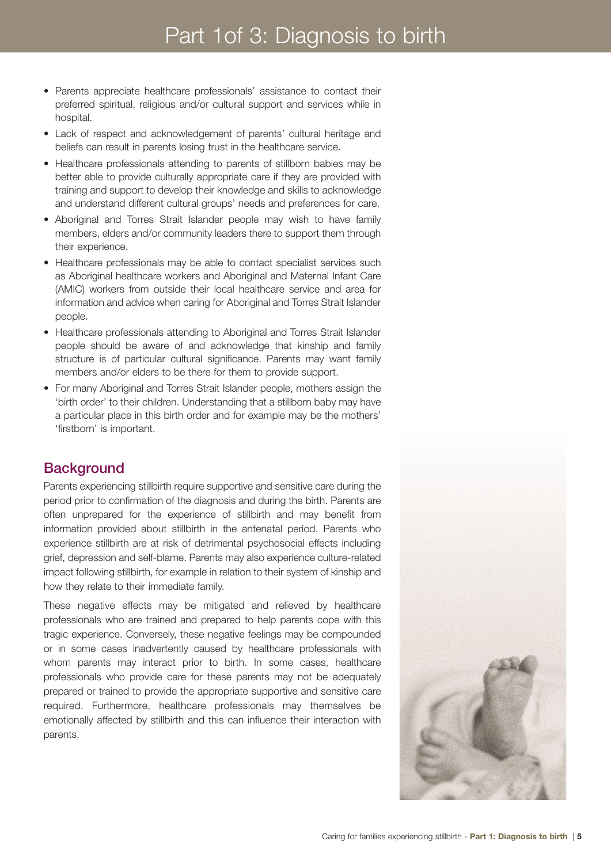- Parents appreciate healthcare professionals' assistance to contact their preferred spiritual, religious and/or cultural support and services while in hospital.
- Lack of respect and acknowledgement of parents' cultural heritage and beliefs can result in parents losing trust in the healthcare service.
- Healthcare professionals attending to parents of stillborn babies may be better able to provide culturally appropriate care if they are provided with training and support to develop their knowledge and skills to acknowledge and understand different cultural groups' needs and preferences for care.
- Aboriginal and Torres Strait Islander people may wish to have family members, elders and/or community leaders there to support them through their experience.
- Healthcare professionals may be able to contact specialist services such as Aboriginal healthcare workers and Aboriginal and Maternal Infant Care (AMIC) workers from outside their local healthcare service and area for information and advice when caring for Aboriginal and Torres Strait Islander people.
- Healthcare professionals attending to Aboriginal and Torres Strait Islander people should be aware of and acknowledge that kinship and family structure is of particular cultural significance. Parents may want family members and/or elders to be there for them to provide support.
- For many Aboriginal and Torres Strait Islander people, mothers assign the 'birth order' to their children. Understanding that a stillborn baby may have a particular place in this birth order and for example may be the mothers' 'firstborn' is important.

# **Background**

Parents experiencing stillbirth require supportive and sensitive care during the period prior to confirmation of the diagnosis and during the birth. Parents are often unprepared for the experience of stillbirth and may benefit from information provided about stillbirth in the antenatal period. Parents who experience stillbirth are at risk of detrimental psychosocial effects including grief, depression and self-blame. Parents may also experience culture-related impact following stillbirth, for example in relation to their system of kinship and how they relate to their immediate family.

These negative effects may be mitigated and relieved by healthcare professionals who are trained and prepared to help parents cope with this tragic experience. Conversely, these negative feelings may be compounded or in some cases inadvertently caused by healthcare professionals with whom parents may interact prior to birth. In some cases, healthcare professionals who provide care for these parents may not be adequately prepared or trained to provide the appropriate supportive and sensitive care required. Furthermore, healthcare professionals may themselves be emotionally affected by stillbirth and this can influence their interaction with parents.

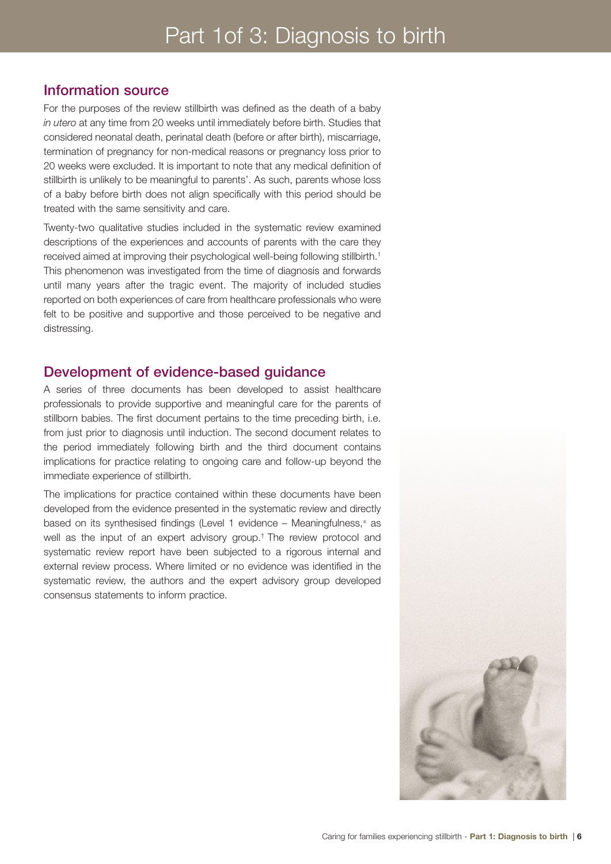# Information source

For the purposes of the review stillbirth was defined as the death of a baby *in utero* at any time from 20 weeks until immediately before birth. Studies that considered neonatal death, perinatal death (before or after birth), miscarriage, termination of pregnancy for non-medical reasons or pregnancy loss prior to 20 weeks were excluded. It is important to note that any medical definition of stillbirth is unlikely to be meaningful to parents'. As such, parents whose loss of a baby before birth does not align specifically with this period should be treated with the same sensitivity and care.

Twenty-two qualitative studies included in the systematic review examined descriptions of the experiences and accounts of parents with the care they received aimed at improving their psychological well-being following stillbirth.1 This phenomenon was investigated from the time of diagnosis and forwards until many years after the tragic event. The majority of included studies reported on both experiences of care from healthcare professionals who were felt to be positive and supportive and those perceived to be negative and distressing.

## Development of evidence-based guidance

A series of three documents has been developed to assist healthcare professionals to provide supportive and meaningful care for the parents of stillborn babies. The first document pertains to the time preceding birth, i.e. from just prior to diagnosis until induction. The second document relates to the period immediately following birth and the third document contains implications for practice relating to ongoing care and follow-up beyond the immediate experience of stillbirth.

The implications for practice contained within these documents have been developed from the evidence presented in the systematic review and directly based on its synthesised findings (Level 1 evidence – Meaningfulness,<sup>±</sup> as well as the input of an expert advisory group.† The review protocol and systematic review report have been subjected to a rigorous internal and external review process. Where limited or no evidence was identified in the systematic review, the authors and the expert advisory group developed consensus statements to inform practice.